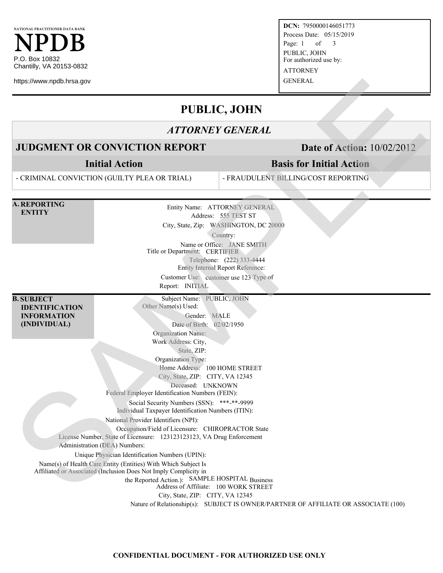**NATIONAL PRACTITIONER DATA BANK NPDB** P.O. Box 10832 Chantilly, VA 20153-0832

https://www.npdb.hrsa.gov

**DCN:** 7950000146051773 Process Date: 05/15/2019 Page: 1 of 3 PUBLIC, JOHN For authorized use by: ATTORNEY GENERAL

# **PUBLIC, JOHN**

## *ATTORNEY GENERAL*

## **JUDGMENT OR CONVICTION REPORT** Date of Action:  $10/02/2012$

**Initial Action**

**Basis for Initial Action**

- CRIMINAL CONVICTION (GUILTY PLEA OR TRIAL)

- FRAUDULENT BILLING/COST REPORTING

**A. REPORTING ENTITY**

**B. SUBJECT**

**IDENTIFICATION INFORMATION (INDIVIDUAL)**

Entity Name: ATTORNEY GENERAL Address: 555 TEST ST City, State, Zip: WASHINGTON, DC 20000 Country: Name or Office: JANE SMITH Title or Department: CERTIFIER Telephone: (222) 333-4444 Entity Internal Report Reference: Customer Use: customer use 123 Type of SERVANGE TRANSPORT FRAME TRANSPORT (SAMERA LUID CANNELLE CHARACTER ALL THE SAME OF THE SAME OF THE SAME OF THE SAME OF THE SAME OF THE SAME OF THE SAME OF THE SAME OF THE SAME OF THE SAME OF THE SAME OF THE SAME OF THE SA

Report: INITIAL

Subject Name: PUBLIC, JOHN Other Name(s) Used:

> Gender: MALE Date of Birth: 02/02/1950

Organization Name: Work Address: City,

State, ZIP:

Organization Type: Home Address: 100 HOME STREET

City, State, ZIP: CITY, VA 12345

Deceased: UNKNOWN

Federal Employer Identification Numbers (FEIN): Social Security Numbers (SSN): \*\*\*-\*\*-9999

Individual Taxpayer Identification Numbers (ITIN):

National Provider Identifiers (NPI):

Occupation/Field of Licensure: CHIROPRACTOR State

License Number, State of Licensure: 123123123123, VA Drug Enforcement Administration (DEA) Numbers:

Unique Physician Identification Numbers (UPIN):

Name(s) of Health Care Entity (Entities) With Which Subject Is

Affiliated or Associated (Inclusion Does Not Imply Complicity in

the Reported Action.): SAMPLE HOSPITAL Business

Address of Affiliate: 100 WORK STREET

City, State, ZIP: CITY, VA 12345

Nature of Relationship(s): SUBJECT IS OWNER/PARTNER OF AFFILIATE OR ASSOCIATE (100)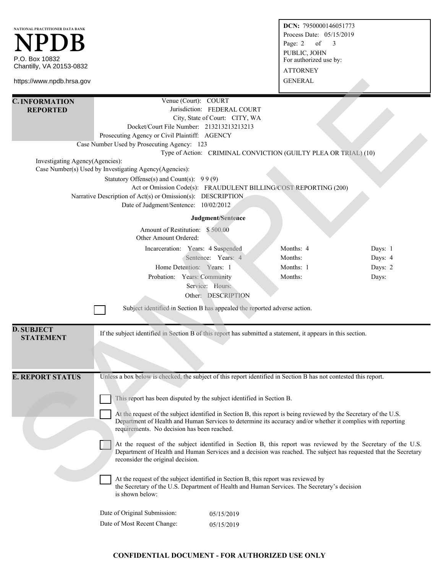| NATIONAL PRACTITIONER DATA BANK<br><b>NPDB</b><br>P.O. Box 10832<br>Chantilly, VA 20153-0832                                                                                                                                                                                                                                                                                                                                                                                                                                                                                                                                                                             |                                                                                                                                                                                                                                                                                                                                                                                                                                                                                                                                                                                                                                                                                                                                                                                                                                                                                                                                                                                                             | DCN: 7950000146051773<br>Process Date: 05/15/2019<br>Page: 2<br>of<br>3<br>PUBLIC, JOHN<br>For authorized use by:<br><b>ATTORNEY</b> |                                              |                                        |  |
|--------------------------------------------------------------------------------------------------------------------------------------------------------------------------------------------------------------------------------------------------------------------------------------------------------------------------------------------------------------------------------------------------------------------------------------------------------------------------------------------------------------------------------------------------------------------------------------------------------------------------------------------------------------------------|-------------------------------------------------------------------------------------------------------------------------------------------------------------------------------------------------------------------------------------------------------------------------------------------------------------------------------------------------------------------------------------------------------------------------------------------------------------------------------------------------------------------------------------------------------------------------------------------------------------------------------------------------------------------------------------------------------------------------------------------------------------------------------------------------------------------------------------------------------------------------------------------------------------------------------------------------------------------------------------------------------------|--------------------------------------------------------------------------------------------------------------------------------------|----------------------------------------------|----------------------------------------|--|
| https://www.npdb.hrsa.gov                                                                                                                                                                                                                                                                                                                                                                                                                                                                                                                                                                                                                                                |                                                                                                                                                                                                                                                                                                                                                                                                                                                                                                                                                                                                                                                                                                                                                                                                                                                                                                                                                                                                             |                                                                                                                                      | <b>GENERAL</b>                               |                                        |  |
| Venue (Court): COURT<br><b>C. INFORMATION</b><br>Jurisdiction: FEDERAL COURT<br><b>REPORTED</b><br>City, State of Court: CITY, WA<br>Docket/Court File Number: 213213213213213<br>Prosecuting Agency or Civil Plaintiff: AGENCY<br>Case Number Used by Prosecuting Agency: 123<br>Type of Action: CRIMINAL CONVICTION (GUILTY PLEA OR TRIAL) (10)<br>Investigating Agency(Agencies):<br>Case Number(s) Used by Investigating Agency(Agencies):<br>Statutory Offense(s) and Count(s): $99(9)$<br>Act or Omission Code(s): FRAUDULENT BILLING/COST REPORTING (200)<br>Narrative Description of Act(s) or Omission(s): DESCRIPTION<br>Date of Judgment/Sentence: 10/02/2012 |                                                                                                                                                                                                                                                                                                                                                                                                                                                                                                                                                                                                                                                                                                                                                                                                                                                                                                                                                                                                             |                                                                                                                                      |                                              |                                        |  |
| Judgment/Sentence                                                                                                                                                                                                                                                                                                                                                                                                                                                                                                                                                                                                                                                        |                                                                                                                                                                                                                                                                                                                                                                                                                                                                                                                                                                                                                                                                                                                                                                                                                                                                                                                                                                                                             |                                                                                                                                      |                                              |                                        |  |
| <b>D. SUBJECT</b>                                                                                                                                                                                                                                                                                                                                                                                                                                                                                                                                                                                                                                                        | Amount of Restitution: \$500.00<br>Other Amount Ordered:<br>Incarceration: Years: 4 Suspended<br>Home Detention: Years: 1<br>Probation: Years: Community<br>Subject identified in Section B has appealed the reported adverse action.                                                                                                                                                                                                                                                                                                                                                                                                                                                                                                                                                                                                                                                                                                                                                                       | Sentence: Years: 4<br>Service: Hours:<br>Other: DESCRIPTION                                                                          | Months: 4<br>Months:<br>Months: 1<br>Months: | Days: 1<br>Days: 4<br>Days: 2<br>Days: |  |
| STATEMENT                                                                                                                                                                                                                                                                                                                                                                                                                                                                                                                                                                                                                                                                | If the subject identified in Section B of this report has submitted a statement, it appears in this section.                                                                                                                                                                                                                                                                                                                                                                                                                                                                                                                                                                                                                                                                                                                                                                                                                                                                                                |                                                                                                                                      |                                              |                                        |  |
| <b>E. REPORT STATUS</b>                                                                                                                                                                                                                                                                                                                                                                                                                                                                                                                                                                                                                                                  | Unless a box below is checked, the subject of this report identified in Section B has not contested this report.<br>This report has been disputed by the subject identified in Section B.<br>At the request of the subject identified in Section B, this report is being reviewed by the Secretary of the U.S.<br>Department of Health and Human Services to determine its accuracy and/or whether it complies with reporting<br>requirements. No decision has been reached.<br>At the request of the subject identified in Section B, this report was reviewed by the Secretary of the U.S.<br>Department of Health and Human Services and a decision was reached. The subject has requested that the Secretary<br>reconsider the original decision.<br>At the request of the subject identified in Section B, this report was reviewed by<br>the Secretary of the U.S. Department of Health and Human Services. The Secretary's decision<br>is shown below:<br>Date of Original Submission:<br>05/15/2019 |                                                                                                                                      |                                              |                                        |  |
|                                                                                                                                                                                                                                                                                                                                                                                                                                                                                                                                                                                                                                                                          | Date of Most Recent Change:                                                                                                                                                                                                                                                                                                                                                                                                                                                                                                                                                                                                                                                                                                                                                                                                                                                                                                                                                                                 | 05/15/2019                                                                                                                           |                                              |                                        |  |

#### **CONFIDENTIAL DOCUMENT - FOR AUTHORIZED USE ONLY**